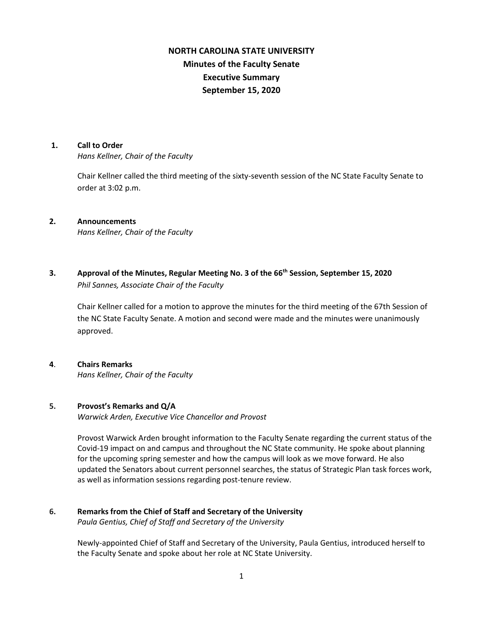# **NORTH CAROLINA STATE UNIVERSITY Minutes of the Faculty Senate Executive Summary September 15, 2020**

#### **1. Call to Order**

*Hans Kellner, Chair of the Faculty*

Chair Kellner called the third meeting of the sixty-seventh session of the NC State Faculty Senate to order at 3:02 p.m.

### **2. Announcements**

*Hans Kellner, Chair of the Faculty*

**3. Approval of the Minutes, Regular Meeting No. 3 of the 66th Session, September 15, 2020** *Phil Sannes, Associate Chair of the Faculty*

Chair Kellner called for a motion to approve the minutes for the third meeting of the 67th Session of the NC State Faculty Senate. A motion and second were made and the minutes were unanimously approved.

# **4**. **Chairs Remarks**

*Hans Kellner, Chair of the Faculty*

# **5. Provost's Remarks and Q/A**

*Warwick Arden, Executive Vice Chancellor and Provost* 

Provost Warwick Arden brought information to the Faculty Senate regarding the current status of the Covid-19 impact on and campus and throughout the NC State community. He spoke about planning for the upcoming spring semester and how the campus will look as we move forward. He also updated the Senators about current personnel searches, the status of Strategic Plan task forces work, as well as information sessions regarding post-tenure review.

#### **6. Remarks from the Chief of Staff and Secretary of the University** *Paula Gentius, Chief of Staff and Secretary of the University*

Newly-appointed Chief of Staff and Secretary of the University, Paula Gentius, introduced herself to the Faculty Senate and spoke about her role at NC State University.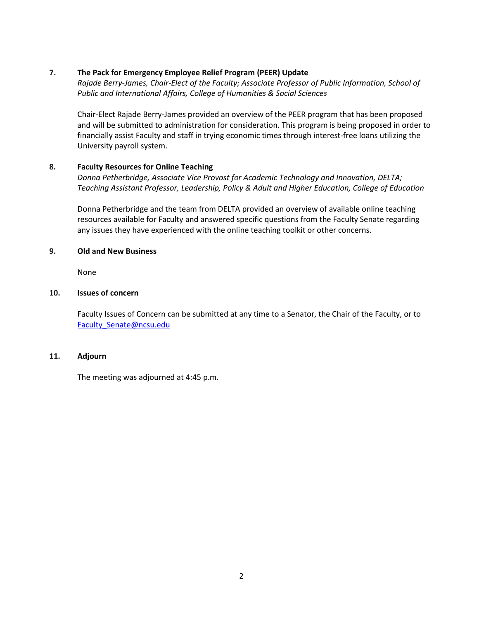### **7. The Pack for Emergency Employee Relief Program (PEER) Update**

*Rajade Berry-James, Chair-Elect of the Faculty; Associate Professor of Public Information, School of Public and International Affairs, College of Humanities & Social Sciences*

Chair-Elect Rajade Berry-James provided an overview of the PEER program that has been proposed and will be submitted to administration for consideration. This program is being proposed in order to financially assist Faculty and staff in trying economic times through interest-free loans utilizing the University payroll system.

### **8. Faculty Resources for Online Teaching**

*Donna Petherbridge, Associate Vice Provost for Academic Technology and Innovation, DELTA; Teaching Assistant Professor, Leadership, Policy & Adult and Higher Education, College of Education*

Donna Petherbridge and the team from DELTA provided an overview of available online teaching resources available for Faculty and answered specific questions from the Faculty Senate regarding any issues they have experienced with the online teaching toolkit or other concerns.

#### **9. Old and New Business**

None

### **10. Issues of concern**

Faculty Issues of Concern can be submitted at any time to a Senator, the Chair of the Faculty, or to [Faculty\\_Senate@ncsu.edu](mailto:Faculty_Senate@ncsu.edu)

### **11. Adjourn**

The meeting was adjourned at 4:45 p.m.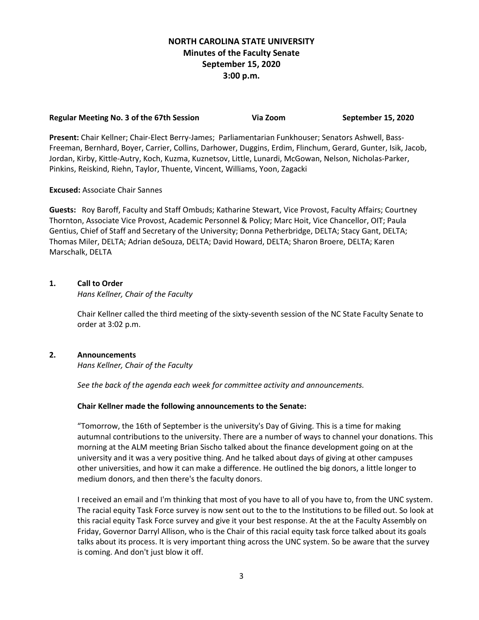# **NORTH CAROLINA STATE UNIVERSITY Minutes of the Faculty Senate September 15, 2020 3:00 p.m.**

#### **Regular Meeting No. 3 of the 67th Session Via Zoom September 15, 2020**

**Present:** Chair Kellner; Chair-Elect Berry-James; Parliamentarian Funkhouser; Senators Ashwell, Bass-Freeman, Bernhard, Boyer, Carrier, Collins, Darhower, Duggins, Erdim, Flinchum, Gerard, Gunter, Isik, Jacob, Jordan, Kirby, Kittle-Autry, Koch, Kuzma, Kuznetsov, Little, Lunardi, McGowan, Nelson, Nicholas-Parker, Pinkins, Reiskind, Riehn, Taylor, Thuente, Vincent, Williams, Yoon, Zagacki

### **Excused:** Associate Chair Sannes

**Guests:** Roy Baroff, Faculty and Staff Ombuds; Katharine Stewart, Vice Provost, Faculty Affairs; Courtney Thornton, Associate Vice Provost, Academic Personnel & Policy; Marc Hoit, Vice Chancellor, OIT; Paula Gentius, Chief of Staff and Secretary of the University; Donna Petherbridge, DELTA; Stacy Gant, DELTA; Thomas Miler, DELTA; Adrian deSouza, DELTA; David Howard, DELTA; Sharon Broere, DELTA; Karen Marschalk, DELTA

#### **1. Call to Order**

*Hans Kellner, Chair of the Faculty*

Chair Kellner called the third meeting of the sixty-seventh session of the NC State Faculty Senate to order at 3:02 p.m.

### **2. Announcements**

*Hans Kellner, Chair of the Faculty*

*See the back of the agenda each week for committee activity and announcements.*

#### **Chair Kellner made the following announcements to the Senate:**

"Tomorrow, the 16th of September is the university's Day of Giving. This is a time for making autumnal contributions to the university. There are a number of ways to channel your donations. This morning at the ALM meeting Brian Sischo talked about the finance development going on at the university and it was a very positive thing. And he talked about days of giving at other campuses other universities, and how it can make a difference. He outlined the big donors, a little longer to medium donors, and then there's the faculty donors.

I received an email and I'm thinking that most of you have to all of you have to, from the UNC system. The racial equity Task Force survey is now sent out to the to the Institutions to be filled out. So look at this racial equity Task Force survey and give it your best response. At the at the Faculty Assembly on Friday, Governor Darryl Allison, who is the Chair of this racial equity task force talked about its goals talks about its process. It is very important thing across the UNC system. So be aware that the survey is coming. And don't just blow it off.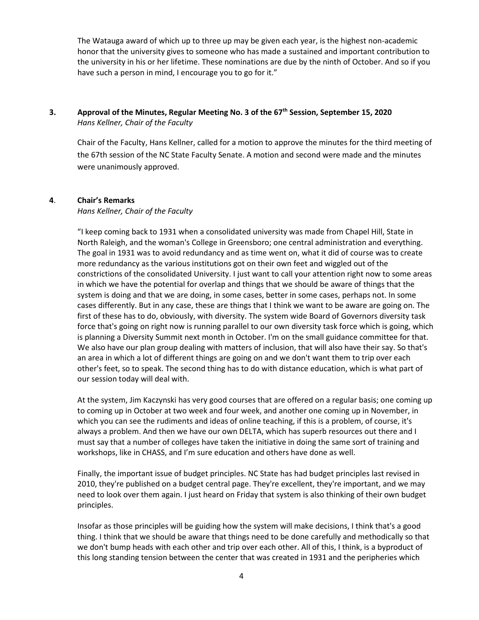The Watauga award of which up to three up may be given each year, is the highest non-academic honor that the university gives to someone who has made a sustained and important contribution to the university in his or her lifetime. These nominations are due by the ninth of October. And so if you have such a person in mind, I encourage you to go for it."

# **3. Approval of the Minutes, Regular Meeting No. 3 of the 67th Session, September 15, 2020** *Hans Kellner, Chair of the Faculty*

Chair of the Faculty, Hans Kellner, called for a motion to approve the minutes for the third meeting of the 67th session of the NC State Faculty Senate. A motion and second were made and the minutes were unanimously approved.

### **4**. **Chair's Remarks**

*Hans Kellner, Chair of the Faculty*

"I keep coming back to 1931 when a consolidated university was made from Chapel Hill, State in North Raleigh, and the woman's College in Greensboro; one central administration and everything. The goal in 1931 was to avoid redundancy and as time went on, what it did of course was to create more redundancy as the various institutions got on their own feet and wiggled out of the constrictions of the consolidated University. I just want to call your attention right now to some areas in which we have the potential for overlap and things that we should be aware of things that the system is doing and that we are doing, in some cases, better in some cases, perhaps not. In some cases differently. But in any case, these are things that I think we want to be aware are going on. The first of these has to do, obviously, with diversity. The system wide Board of Governors diversity task force that's going on right now is running parallel to our own diversity task force which is going, which is planning a Diversity Summit next month in October. I'm on the small guidance committee for that. We also have our plan group dealing with matters of inclusion, that will also have their say. So that's an area in which a lot of different things are going on and we don't want them to trip over each other's feet, so to speak. The second thing has to do with distance education, which is what part of our session today will deal with.

At the system, Jim Kaczynski has very good courses that are offered on a regular basis; one coming up to coming up in October at two week and four week, and another one coming up in November, in which you can see the rudiments and ideas of online teaching, if this is a problem, of course, it's always a problem. And then we have our own DELTA, which has superb resources out there and I must say that a number of colleges have taken the initiative in doing the same sort of training and workshops, like in CHASS, and I'm sure education and others have done as well.

Finally, the important issue of budget principles. NC State has had budget principles last revised in 2010, they're published on a budget central page. They're excellent, they're important, and we may need to look over them again. I just heard on Friday that system is also thinking of their own budget principles.

Insofar as those principles will be guiding how the system will make decisions, I think that's a good thing. I think that we should be aware that things need to be done carefully and methodically so that we don't bump heads with each other and trip over each other. All of this, I think, is a byproduct of this long standing tension between the center that was created in 1931 and the peripheries which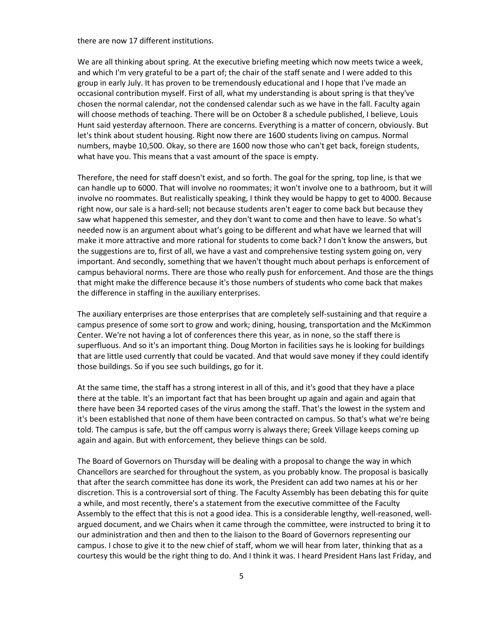there are now 17 different institutions.

We are all thinking about spring. At the executive briefing meeting which now meets twice a week, and which I'm very grateful to be a part of; the chair of the staff senate and I were added to this group in early July. It has proven to be tremendously educational and I hope that I've made an occasional contribution myself. First of all, what my understanding is about spring is that they've chosen the normal calendar, not the condensed calendar such as we have in the fall. Faculty again will choose methods of teaching. There will be on October 8 a schedule published, I believe, Louis Hunt said yesterday afternoon. There are concerns. Everything is a matter of concern, obviously. But let's think about student housing. Right now there are 1600 students living on campus. Normal numbers, maybe 10,500. Okay, so there are 1600 now those who can't get back, foreign students, what have you. This means that a vast amount of the space is empty.

Therefore, the need for staff doesn't exist, and so forth. The goal for the spring, top line, is that we can handle up to 6000. That will involve no roommates; it won't involve one to a bathroom, but it will involve no roommates. But realistically speaking, I think they would be happy to get to 4000. Because right now, our sale is a hard-sell; not because students aren't eager to come back but because they saw what happened this semester, and they don't want to come and then have to leave. So what's needed now is an argument about what's going to be different and what have we learned that will make it more attractive and more rational for students to come back? I don't know the answers, but the suggestions are to, first of all, we have a vast and comprehensive testing system going on, very important. And secondly, something that we haven't thought much about perhaps is enforcement of campus behavioral norms. There are those who really push for enforcement. And those are the things that might make the difference because it's those numbers of students who come back that makes the difference in staffing in the auxiliary enterprises.

The auxiliary enterprises are those enterprises that are completely self-sustaining and that require a campus presence of some sort to grow and work; dining, housing, transportation and the McKimmon Center. We're not having a lot of conferences there this year, as in none, so the staff there is superfluous. And so it's an important thing. Doug Morton in facilities says he is looking for buildings that are little used currently that could be vacated. And that would save money if they could identify those buildings. So if you see such buildings, go for it.

At the same time, the staff has a strong interest in all of this, and it's good that they have a place there at the table. It's an important fact that has been brought up again and again and again that there have been 34 reported cases of the virus among the staff. That's the lowest in the system and it's been established that none of them have been contracted on campus. So that's what we're being told. The campus is safe, but the off campus worry is always there; Greek Village keeps coming up again and again. But with enforcement, they believe things can be sold.

The Board of Governors on Thursday will be dealing with a proposal to change the way in which Chancellors are searched for throughout the system, as you probably know. The proposal is basically that after the search committee has done its work, the President can add two names at his or her discretion. This is a controversial sort of thing. The Faculty Assembly has been debating this for quite a while, and most recently, there's a statement from the executive committee of the Faculty Assembly to the effect that this is not a good idea. This is a considerable lengthy, well-reasoned, wellargued document, and we Chairs when it came through the committee, were instructed to bring it to our administration and then and then to the liaison to the Board of Governors representing our campus. I chose to give it to the new chief of staff, whom we will hear from later, thinking that as a courtesy this would be the right thing to do. And I think it was. I heard President Hans last Friday, and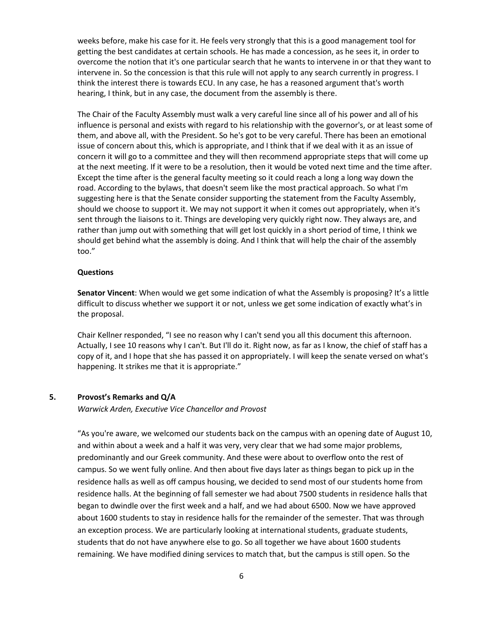weeks before, make his case for it. He feels very strongly that this is a good management tool for getting the best candidates at certain schools. He has made a concession, as he sees it, in order to overcome the notion that it's one particular search that he wants to intervene in or that they want to intervene in. So the concession is that this rule will not apply to any search currently in progress. I think the interest there is towards ECU. In any case, he has a reasoned argument that's worth hearing, I think, but in any case, the document from the assembly is there.

The Chair of the Faculty Assembly must walk a very careful line since all of his power and all of his influence is personal and exists with regard to his relationship with the governor's, or at least some of them, and above all, with the President. So he's got to be very careful. There has been an emotional issue of concern about this, which is appropriate, and I think that if we deal with it as an issue of concern it will go to a committee and they will then recommend appropriate steps that will come up at the next meeting. If it were to be a resolution, then it would be voted next time and the time after. Except the time after is the general faculty meeting so it could reach a long a long way down the road. According to the bylaws, that doesn't seem like the most practical approach. So what I'm suggesting here is that the Senate consider supporting the statement from the Faculty Assembly, should we choose to support it. We may not support it when it comes out appropriately, when it's sent through the liaisons to it. Things are developing very quickly right now. They always are, and rather than jump out with something that will get lost quickly in a short period of time, I think we should get behind what the assembly is doing. And I think that will help the chair of the assembly too."

#### **Questions**

**Senator Vincent**: When would we get some indication of what the Assembly is proposing? It's a little difficult to discuss whether we support it or not, unless we get some indication of exactly what's in the proposal.

Chair Kellner responded, "I see no reason why I can't send you all this document this afternoon. Actually, I see 10 reasons why I can't. But I'll do it. Right now, as far as I know, the chief of staff has a copy of it, and I hope that she has passed it on appropriately. I will keep the senate versed on what's happening. It strikes me that it is appropriate."

### **5. Provost's Remarks and Q/A**

*Warwick Arden, Executive Vice Chancellor and Provost*

"As you're aware, we welcomed our students back on the campus with an opening date of August 10, and within about a week and a half it was very, very clear that we had some major problems, predominantly and our Greek community. And these were about to overflow onto the rest of campus. So we went fully online. And then about five days later as things began to pick up in the residence halls as well as off campus housing, we decided to send most of our students home from residence halls. At the beginning of fall semester we had about 7500 students in residence halls that began to dwindle over the first week and a half, and we had about 6500. Now we have approved about 1600 students to stay in residence halls for the remainder of the semester. That was through an exception process. We are particularly looking at international students, graduate students, students that do not have anywhere else to go. So all together we have about 1600 students remaining. We have modified dining services to match that, but the campus is still open. So the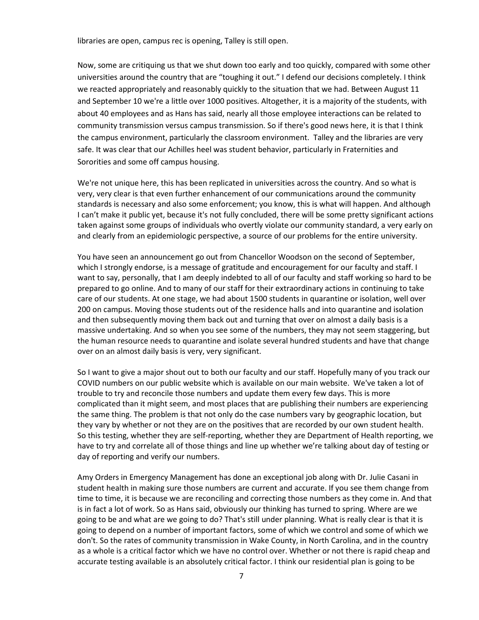libraries are open, campus rec is opening, Talley is still open.

Now, some are critiquing us that we shut down too early and too quickly, compared with some other universities around the country that are "toughing it out." I defend our decisions completely. I think we reacted appropriately and reasonably quickly to the situation that we had. Between August 11 and September 10 we're a little over 1000 positives. Altogether, it is a majority of the students, with about 40 employees and as Hans has said, nearly all those employee interactions can be related to community transmission versus campus transmission. So if there's good news here, it is that I think the campus environment, particularly the classroom environment. Talley and the libraries are very safe. It was clear that our Achilles heel was student behavior, particularly in Fraternities and Sororities and some off campus housing.

We're not unique here, this has been replicated in universities across the country. And so what is very, very clear is that even further enhancement of our communications around the community standards is necessary and also some enforcement; you know, this is what will happen. And although I can't make it public yet, because it's not fully concluded, there will be some pretty significant actions taken against some groups of individuals who overtly violate our community standard, a very early on and clearly from an epidemiologic perspective, a source of our problems for the entire university.

You have seen an announcement go out from Chancellor Woodson on the second of September, which I strongly endorse, is a message of gratitude and encouragement for our faculty and staff. I want to say, personally, that I am deeply indebted to all of our faculty and staff working so hard to be prepared to go online. And to many of our staff for their extraordinary actions in continuing to take care of our students. At one stage, we had about 1500 students in quarantine or isolation, well over 200 on campus. Moving those students out of the residence halls and into quarantine and isolation and then subsequently moving them back out and turning that over on almost a daily basis is a massive undertaking. And so when you see some of the numbers, they may not seem staggering, but the human resource needs to quarantine and isolate several hundred students and have that change over on an almost daily basis is very, very significant.

So I want to give a major shout out to both our faculty and our staff. Hopefully many of you track our COVID numbers on our public website which is available on our main website. We've taken a lot of trouble to try and reconcile those numbers and update them every few days. This is more complicated than it might seem, and most places that are publishing their numbers are experiencing the same thing. The problem is that not only do the case numbers vary by geographic location, but they vary by whether or not they are on the positives that are recorded by our own student health. So this testing, whether they are self-reporting, whether they are Department of Health reporting, we have to try and correlate all of those things and line up whether we're talking about day of testing or day of reporting and verify our numbers.

Amy Orders in Emergency Management has done an exceptional job along with Dr. Julie Casani in student health in making sure those numbers are current and accurate. If you see them change from time to time, it is because we are reconciling and correcting those numbers as they come in. And that is in fact a lot of work. So as Hans said, obviously our thinking has turned to spring. Where are we going to be and what are we going to do? That's still under planning. What is really clear is that it is going to depend on a number of important factors, some of which we control and some of which we don't. So the rates of community transmission in Wake County, in North Carolina, and in the country as a whole is a critical factor which we have no control over. Whether or not there is rapid cheap and accurate testing available is an absolutely critical factor. I think our residential plan is going to be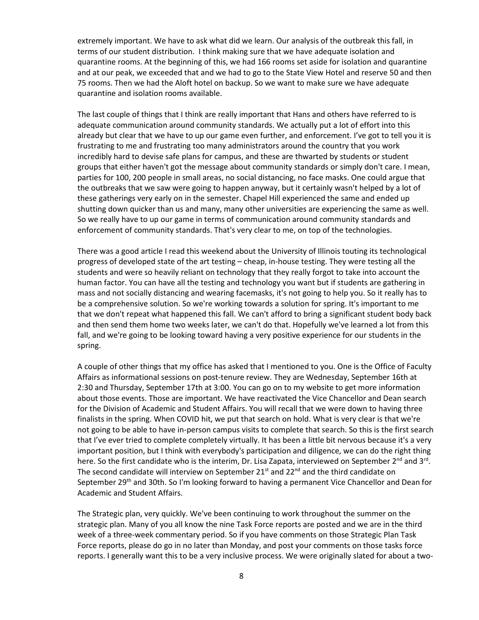extremely important. We have to ask what did we learn. Our analysis of the outbreak this fall, in terms of our student distribution. I think making sure that we have adequate isolation and quarantine rooms. At the beginning of this, we had 166 rooms set aside for isolation and quarantine and at our peak, we exceeded that and we had to go to the State View Hotel and reserve 50 and then 75 rooms. Then we had the Aloft hotel on backup. So we want to make sure we have adequate quarantine and isolation rooms available.

The last couple of things that I think are really important that Hans and others have referred to is adequate communication around community standards. We actually put a lot of effort into this already but clear that we have to up our game even further, and enforcement. I've got to tell you it is frustrating to me and frustrating too many administrators around the country that you work incredibly hard to devise safe plans for campus, and these are thwarted by students or student groups that either haven't got the message about community standards or simply don't care. I mean, parties for 100, 200 people in small areas, no social distancing, no face masks. One could argue that the outbreaks that we saw were going to happen anyway, but it certainly wasn't helped by a lot of these gatherings very early on in the semester. Chapel Hill experienced the same and ended up shutting down quicker than us and many, many other universities are experiencing the same as well. So we really have to up our game in terms of communication around community standards and enforcement of community standards. That's very clear to me, on top of the technologies.

There was a good article I read this weekend about the University of Illinois touting its technological progress of developed state of the art testing – cheap, in-house testing. They were testing all the students and were so heavily reliant on technology that they really forgot to take into account the human factor. You can have all the testing and technology you want but if students are gathering in mass and not socially distancing and wearing facemasks, it's not going to help you. So it really has to be a comprehensive solution. So we're working towards a solution for spring. It's important to me that we don't repeat what happened this fall. We can't afford to bring a significant student body back and then send them home two weeks later, we can't do that. Hopefully we've learned a lot from this fall, and we're going to be looking toward having a very positive experience for our students in the spring.

A couple of other things that my office has asked that I mentioned to you. One is the Office of Faculty Affairs as informational sessions on post-tenure review. They are Wednesday, September 16th at 2:30 and Thursday, September 17th at 3:00. You can go on to my website to get more information about those events. Those are important. We have reactivated the Vice Chancellor and Dean search for the Division of Academic and Student Affairs. You will recall that we were down to having three finalists in the spring. When COVID hit, we put that search on hold. What is very clear is that we're not going to be able to have in-person campus visits to complete that search. So this is the first search that I've ever tried to complete completely virtually. It has been a little bit nervous because it's a very important position, but I think with everybody's participation and diligence, we can do the right thing here. So the first candidate who is the interim, Dr. Lisa Zapata, interviewed on September 2<sup>nd</sup> and 3<sup>rd</sup>. The second candidate will interview on September  $21<sup>st</sup>$  and  $22<sup>nd</sup>$  and the third candidate on September 29<sup>th</sup> and 30th. So I'm looking forward to having a permanent Vice Chancellor and Dean for Academic and Student Affairs.

The Strategic plan, very quickly. We've been continuing to work throughout the summer on the strategic plan. Many of you all know the nine Task Force reports are posted and we are in the third week of a three-week commentary period. So if you have comments on those Strategic Plan Task Force reports, please do go in no later than Monday, and post your comments on those tasks force reports. I generally want this to be a very inclusive process. We were originally slated for about a two-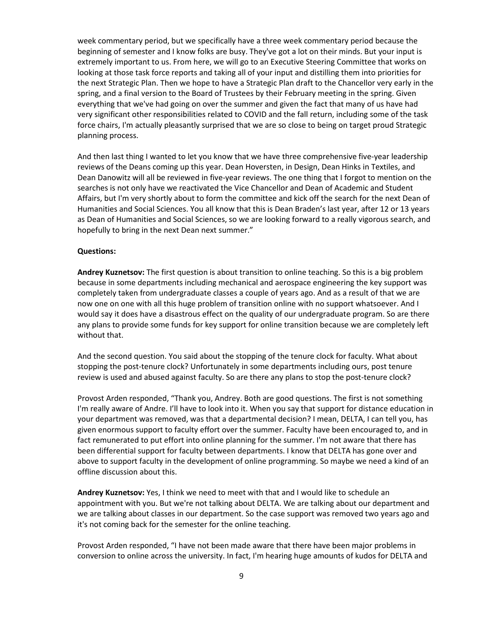week commentary period, but we specifically have a three week commentary period because the beginning of semester and I know folks are busy. They've got a lot on their minds. But your input is extremely important to us. From here, we will go to an Executive Steering Committee that works on looking at those task force reports and taking all of your input and distilling them into priorities for the next Strategic Plan. Then we hope to have a Strategic Plan draft to the Chancellor very early in the spring, and a final version to the Board of Trustees by their February meeting in the spring. Given everything that we've had going on over the summer and given the fact that many of us have had very significant other responsibilities related to COVID and the fall return, including some of the task force chairs, I'm actually pleasantly surprised that we are so close to being on target proud Strategic planning process.

And then last thing I wanted to let you know that we have three comprehensive five-year leadership reviews of the Deans coming up this year. Dean Hoversten, in Design, Dean Hinks in Textiles, and Dean Danowitz will all be reviewed in five-year reviews. The one thing that I forgot to mention on the searches is not only have we reactivated the Vice Chancellor and Dean of Academic and Student Affairs, but I'm very shortly about to form the committee and kick off the search for the next Dean of Humanities and Social Sciences. You all know that this is Dean Braden's last year, after 12 or 13 years as Dean of Humanities and Social Sciences, so we are looking forward to a really vigorous search, and hopefully to bring in the next Dean next summer."

#### **Questions:**

**Andrey Kuznetsov:** The first question is about transition to online teaching. So this is a big problem because in some departments including mechanical and aerospace engineering the key support was completely taken from undergraduate classes a couple of years ago. And as a result of that we are now one on one with all this huge problem of transition online with no support whatsoever. And I would say it does have a disastrous effect on the quality of our undergraduate program. So are there any plans to provide some funds for key support for online transition because we are completely left without that.

And the second question. You said about the stopping of the tenure clock for faculty. What about stopping the post-tenure clock? Unfortunately in some departments including ours, post tenure review is used and abused against faculty. So are there any plans to stop the post-tenure clock?

Provost Arden responded, "Thank you, Andrey. Both are good questions. The first is not something I'm really aware of Andre. I'll have to look into it. When you say that support for distance education in your department was removed, was that a departmental decision? I mean, DELTA, I can tell you, has given enormous support to faculty effort over the summer. Faculty have been encouraged to, and in fact remunerated to put effort into online planning for the summer. I'm not aware that there has been differential support for faculty between departments. I know that DELTA has gone over and above to support faculty in the development of online programming. So maybe we need a kind of an offline discussion about this.

**Andrey Kuznetsov:** Yes, I think we need to meet with that and I would like to schedule an appointment with you. But we're not talking about DELTA. We are talking about our department and we are talking about classes in our department. So the case support was removed two years ago and it's not coming back for the semester for the online teaching.

Provost Arden responded, "I have not been made aware that there have been major problems in conversion to online across the university. In fact, I'm hearing huge amounts of kudos for DELTA and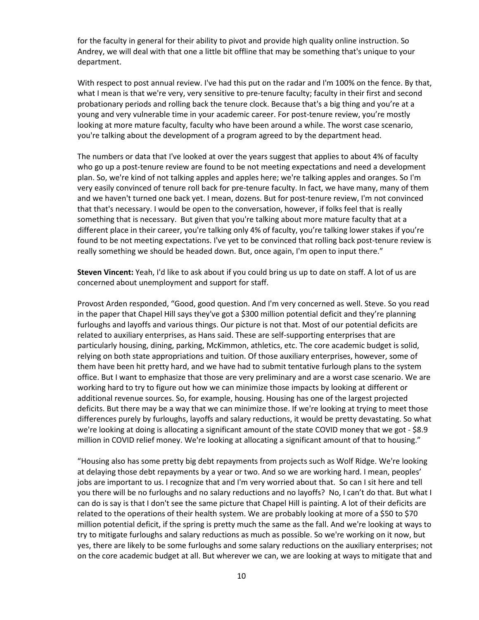for the faculty in general for their ability to pivot and provide high quality online instruction. So Andrey, we will deal with that one a little bit offline that may be something that's unique to your department.

With respect to post annual review. I've had this put on the radar and I'm 100% on the fence. By that, what I mean is that we're very, very sensitive to pre-tenure faculty; faculty in their first and second probationary periods and rolling back the tenure clock. Because that's a big thing and you're at a young and very vulnerable time in your academic career. For post-tenure review, you're mostly looking at more mature faculty, faculty who have been around a while. The worst case scenario, you're talking about the development of a program agreed to by the department head.

The numbers or data that I've looked at over the years suggest that applies to about 4% of faculty who go up a post-tenure review are found to be not meeting expectations and need a development plan. So, we're kind of not talking apples and apples here; we're talking apples and oranges. So I'm very easily convinced of tenure roll back for pre-tenure faculty. In fact, we have many, many of them and we haven't turned one back yet. I mean, dozens. But for post-tenure review, I'm not convinced that that's necessary. I would be open to the conversation, however, if folks feel that is really something that is necessary. But given that you're talking about more mature faculty that at a different place in their career, you're talking only 4% of faculty, you're talking lower stakes if you're found to be not meeting expectations. I've yet to be convinced that rolling back post-tenure review is really something we should be headed down. But, once again, I'm open to input there."

**Steven Vincent:** Yeah, I'd like to ask about if you could bring us up to date on staff. A lot of us are concerned about unemployment and support for staff.

Provost Arden responded, "Good, good question. And I'm very concerned as well. Steve. So you read in the paper that Chapel Hill says they've got a \$300 million potential deficit and they're planning furloughs and layoffs and various things. Our picture is not that. Most of our potential deficits are related to auxiliary enterprises, as Hans said. These are self-supporting enterprises that are particularly housing, dining, parking, McKimmon, athletics, etc. The core academic budget is solid, relying on both state appropriations and tuition. Of those auxiliary enterprises, however, some of them have been hit pretty hard, and we have had to submit tentative furlough plans to the system office. But I want to emphasize that those are very preliminary and are a worst case scenario. We are working hard to try to figure out how we can minimize those impacts by looking at different or additional revenue sources. So, for example, housing. Housing has one of the largest projected deficits. But there may be a way that we can minimize those. If we're looking at trying to meet those differences purely by furloughs, layoffs and salary reductions, it would be pretty devastating. So what we're looking at doing is allocating a significant amount of the state COVID money that we got - \$8.9 million in COVID relief money. We're looking at allocating a significant amount of that to housing."

"Housing also has some pretty big debt repayments from projects such as Wolf Ridge. We're looking at delaying those debt repayments by a year or two. And so we are working hard. I mean, peoples' jobs are important to us. I recognize that and I'm very worried about that. So can I sit here and tell you there will be no furloughs and no salary reductions and no layoffs? No, I can't do that. But what I can do is say is that I don't see the same picture that Chapel Hill is painting. A lot of their deficits are related to the operations of their health system. We are probably looking at more of a \$50 to \$70 million potential deficit, if the spring is pretty much the same as the fall. And we're looking at ways to try to mitigate furloughs and salary reductions as much as possible. So we're working on it now, but yes, there are likely to be some furloughs and some salary reductions on the auxiliary enterprises; not on the core academic budget at all. But wherever we can, we are looking at ways to mitigate that and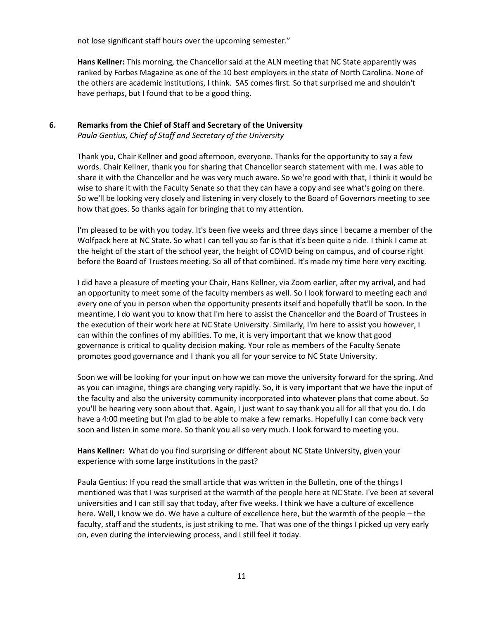not lose significant staff hours over the upcoming semester."

**Hans Kellner:** This morning, the Chancellor said at the ALN meeting that NC State apparently was ranked by Forbes Magazine as one of the 10 best employers in the state of North Carolina. None of the others are academic institutions, I think. SAS comes first. So that surprised me and shouldn't have perhaps, but I found that to be a good thing.

# **6. Remarks from the Chief of Staff and Secretary of the University**

*Paula Gentius, Chief of Staff and Secretary of the University* 

Thank you, Chair Kellner and good afternoon, everyone. Thanks for the opportunity to say a few words. Chair Kellner, thank you for sharing that Chancellor search statement with me. I was able to share it with the Chancellor and he was very much aware. So we're good with that, I think it would be wise to share it with the Faculty Senate so that they can have a copy and see what's going on there. So we'll be looking very closely and listening in very closely to the Board of Governors meeting to see how that goes. So thanks again for bringing that to my attention.

I'm pleased to be with you today. It's been five weeks and three days since I became a member of the Wolfpack here at NC State. So what I can tell you so far is that it's been quite a ride. I think I came at the height of the start of the school year, the height of COVID being on campus, and of course right before the Board of Trustees meeting. So all of that combined. It's made my time here very exciting.

I did have a pleasure of meeting your Chair, Hans Kellner, via Zoom earlier, after my arrival, and had an opportunity to meet some of the faculty members as well. So I look forward to meeting each and every one of you in person when the opportunity presents itself and hopefully that'll be soon. In the meantime, I do want you to know that I'm here to assist the Chancellor and the Board of Trustees in the execution of their work here at NC State University. Similarly, I'm here to assist you however, I can within the confines of my abilities. To me, it is very important that we know that good governance is critical to quality decision making. Your role as members of the Faculty Senate promotes good governance and I thank you all for your service to NC State University.

Soon we will be looking for your input on how we can move the university forward for the spring. And as you can imagine, things are changing very rapidly. So, it is very important that we have the input of the faculty and also the university community incorporated into whatever plans that come about. So you'll be hearing very soon about that. Again, I just want to say thank you all for all that you do. I do have a 4:00 meeting but I'm glad to be able to make a few remarks. Hopefully I can come back very soon and listen in some more. So thank you all so very much. I look forward to meeting you.

**Hans Kellner:** What do you find surprising or different about NC State University, given your experience with some large institutions in the past?

Paula Gentius: If you read the small article that was written in the Bulletin, one of the things I mentioned was that I was surprised at the warmth of the people here at NC State. I've been at several universities and I can still say that today, after five weeks. I think we have a culture of excellence here. Well, I know we do. We have a culture of excellence here, but the warmth of the people – the faculty, staff and the students, is just striking to me. That was one of the things I picked up very early on, even during the interviewing process, and I still feel it today.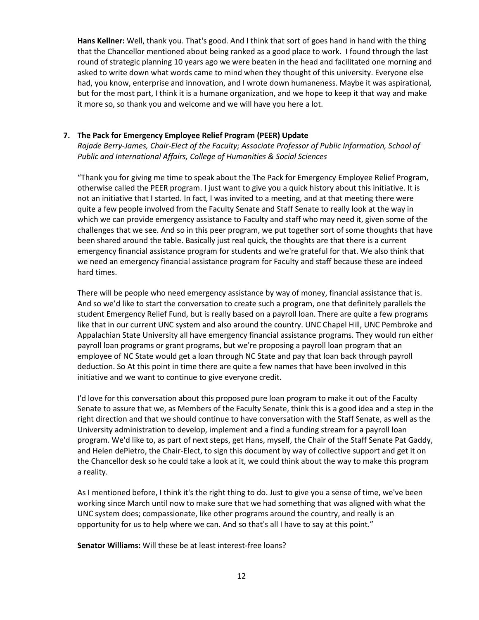**Hans Kellner:** Well, thank you. That's good. And I think that sort of goes hand in hand with the thing that the Chancellor mentioned about being ranked as a good place to work. I found through the last round of strategic planning 10 years ago we were beaten in the head and facilitated one morning and asked to write down what words came to mind when they thought of this university. Everyone else had, you know, enterprise and innovation, and I wrote down humaneness. Maybe it was aspirational, but for the most part, I think it is a humane organization, and we hope to keep it that way and make it more so, so thank you and welcome and we will have you here a lot.

### **7. The Pack for Emergency Employee Relief Program (PEER) Update**

*Rajade Berry-James, Chair-Elect of the Faculty; Associate Professor of Public Information, School of Public and International Affairs, College of Humanities & Social Sciences*

"Thank you for giving me time to speak about the The Pack for Emergency Employee Relief Program, otherwise called the PEER program. I just want to give you a quick history about this initiative. It is not an initiative that I started. In fact, I was invited to a meeting, and at that meeting there were quite a few people involved from the Faculty Senate and Staff Senate to really look at the way in which we can provide emergency assistance to Faculty and staff who may need it, given some of the challenges that we see. And so in this peer program, we put together sort of some thoughts that have been shared around the table. Basically just real quick, the thoughts are that there is a current emergency financial assistance program for students and we're grateful for that. We also think that we need an emergency financial assistance program for Faculty and staff because these are indeed hard times.

There will be people who need emergency assistance by way of money, financial assistance that is. And so we'd like to start the conversation to create such a program, one that definitely parallels the student Emergency Relief Fund, but is really based on a payroll loan. There are quite a few programs like that in our current UNC system and also around the country. UNC Chapel Hill, UNC Pembroke and Appalachian State University all have emergency financial assistance programs. They would run either payroll loan programs or grant programs, but we're proposing a payroll loan program that an employee of NC State would get a loan through NC State and pay that loan back through payroll deduction. So At this point in time there are quite a few names that have been involved in this initiative and we want to continue to give everyone credit.

I'd love for this conversation about this proposed pure loan program to make it out of the Faculty Senate to assure that we, as Members of the Faculty Senate, think this is a good idea and a step in the right direction and that we should continue to have conversation with the Staff Senate, as well as the University administration to develop, implement and a find a funding stream for a payroll loan program. We'd like to, as part of next steps, get Hans, myself, the Chair of the Staff Senate Pat Gaddy, and Helen dePietro, the Chair-Elect, to sign this document by way of collective support and get it on the Chancellor desk so he could take a look at it, we could think about the way to make this program a reality.

As I mentioned before, I think it's the right thing to do. Just to give you a sense of time, we've been working since March until now to make sure that we had something that was aligned with what the UNC system does; compassionate, like other programs around the country, and really is an opportunity for us to help where we can. And so that's all I have to say at this point."

**Senator Williams:** Will these be at least interest-free loans?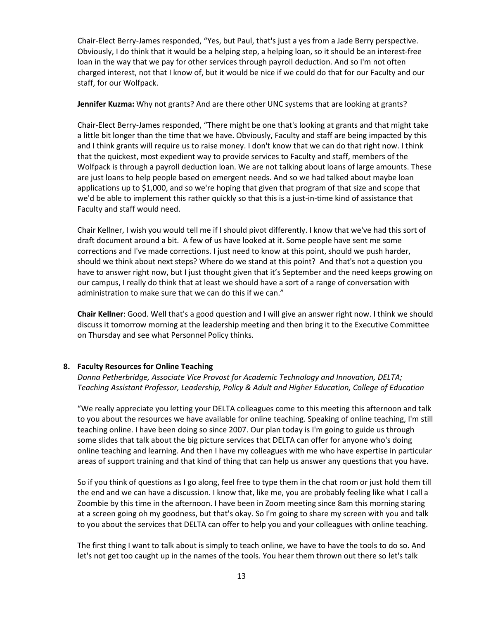Chair-Elect Berry-James responded, "Yes, but Paul, that's just a yes from a Jade Berry perspective. Obviously, I do think that it would be a helping step, a helping loan, so it should be an interest-free loan in the way that we pay for other services through payroll deduction. And so I'm not often charged interest, not that I know of, but it would be nice if we could do that for our Faculty and our staff, for our Wolfpack.

**Jennifer Kuzma:** Why not grants? And are there other UNC systems that are looking at grants?

Chair-Elect Berry-James responded, "There might be one that's looking at grants and that might take a little bit longer than the time that we have. Obviously, Faculty and staff are being impacted by this and I think grants will require us to raise money. I don't know that we can do that right now. I think that the quickest, most expedient way to provide services to Faculty and staff, members of the Wolfpack is through a payroll deduction loan. We are not talking about loans of large amounts. These are just loans to help people based on emergent needs. And so we had talked about maybe loan applications up to \$1,000, and so we're hoping that given that program of that size and scope that we'd be able to implement this rather quickly so that this is a just-in-time kind of assistance that Faculty and staff would need.

Chair Kellner, I wish you would tell me if I should pivot differently. I know that we've had this sort of draft document around a bit. A few of us have looked at it. Some people have sent me some corrections and I've made corrections. I just need to know at this point, should we push harder, should we think about next steps? Where do we stand at this point? And that's not a question you have to answer right now, but I just thought given that it's September and the need keeps growing on our campus, I really do think that at least we should have a sort of a range of conversation with administration to make sure that we can do this if we can."

**Chair Kellner**: Good. Well that's a good question and I will give an answer right now. I think we should discuss it tomorrow morning at the leadership meeting and then bring it to the Executive Committee on Thursday and see what Personnel Policy thinks.

### **8. Faculty Resources for Online Teaching**

*Donna Petherbridge, Associate Vice Provost for Academic Technology and Innovation, DELTA; Teaching Assistant Professor, Leadership, Policy & Adult and Higher Education, College of Education*

"We really appreciate you letting your DELTA colleagues come to this meeting this afternoon and talk to you about the resources we have available for online teaching. Speaking of online teaching, I'm still teaching online. I have been doing so since 2007. Our plan today is I'm going to guide us through some slides that talk about the big picture services that DELTA can offer for anyone who's doing online teaching and learning. And then I have my colleagues with me who have expertise in particular areas of support training and that kind of thing that can help us answer any questions that you have.

So if you think of questions as I go along, feel free to type them in the chat room or just hold them till the end and we can have a discussion. I know that, like me, you are probably feeling like what I call a Zoombie by this time in the afternoon. I have been in Zoom meeting since 8am this morning staring at a screen going oh my goodness, but that's okay. So I'm going to share my screen with you and talk to you about the services that DELTA can offer to help you and your colleagues with online teaching.

The first thing I want to talk about is simply to teach online, we have to have the tools to do so. And let's not get too caught up in the names of the tools. You hear them thrown out there so let's talk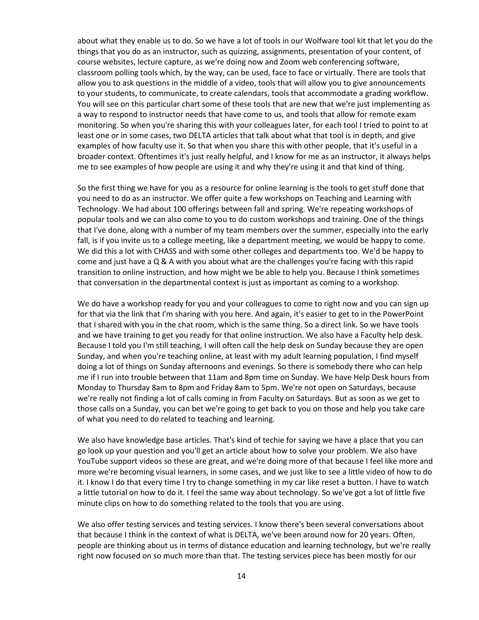about what they enable us to do. So we have a lot of tools in our Wolfware tool kit that let you do the things that you do as an instructor, such as quizzing, assignments, presentation of your content, of course websites, lecture capture, as we're doing now and Zoom web conferencing software, classroom polling tools which, by the way, can be used, face to face or virtually. There are tools that allow you to ask questions in the middle of a video, tools that will allow you to give announcements to your students, to communicate, to create calendars, tools that accommodate a grading workflow. You will see on this particular chart some of these tools that are new that we're just implementing as a way to respond to instructor needs that have come to us, and tools that allow for remote exam monitoring. So when you're sharing this with your colleagues later, for each tool I tried to point to at least one or in some cases, two DELTA articles that talk about what that tool is in depth, and give examples of how faculty use it. So that when you share this with other people, that it's useful in a broader context. Oftentimes it's just really helpful, and I know for me as an instructor, it always helps me to see examples of how people are using it and why they're using it and that kind of thing.

So the first thing we have for you as a resource for online learning is the tools to get stuff done that you need to do as an instructor. We offer quite a few workshops on Teaching and Learning with Technology. We had about 100 offerings between fall and spring. We're repeating workshops of popular tools and we can also come to you to do custom workshops and training. One of the things that I've done, along with a number of my team members over the summer, especially into the early fall, is if you invite us to a college meeting, like a department meeting, we would be happy to come. We did this a lot with CHASS and with some other colleges and departments too. We'd be happy to come and just have a  $Q$  & A with you about what are the challenges you're facing with this rapid transition to online instruction, and how might we be able to help you. Because I think sometimes that conversation in the departmental context is just as important as coming to a workshop.

We do have a workshop ready for you and your colleagues to come to right now and you can sign up for that via the link that I'm sharing with you here. And again, it's easier to get to in the PowerPoint that I shared with you in the chat room, which is the same thing. So a direct link. So we have tools and we have training to get you ready for that online instruction. We also have a Faculty help desk. Because I told you I'm still teaching, I will often call the help desk on Sunday because they are open Sunday, and when you're teaching online, at least with my adult learning population, I find myself doing a lot of things on Sunday afternoons and evenings. So there is somebody there who can help me if I run into trouble between that 11am and 8pm time on Sunday. We have Help Desk hours from Monday to Thursday 8am to 8pm and Friday 8am to 5pm. We're not open on Saturdays, because we're really not finding a lot of calls coming in from Faculty on Saturdays. But as soon as we get to those calls on a Sunday, you can bet we're going to get back to you on those and help you take care of what you need to do related to teaching and learning.

We also have knowledge base articles. That's kind of techie for saying we have a place that you can go look up your question and you'll get an article about how to solve your problem. We also have YouTube support videos so these are great, and we're doing more of that because I feel like more and more we're becoming visual learners, in some cases, and we just like to see a little video of how to do it. I know I do that every time I try to change something in my car like reset a button. I have to watch a little tutorial on how to do it. I feel the same way about technology. So we've got a lot of little five minute clips on how to do something related to the tools that you are using.

We also offer testing services and testing services. I know there's been several conversations about that because I think in the context of what is DELTA, we've been around now for 20 years. Often, people are thinking about us in terms of distance education and learning technology, but we're really right now focused on so much more than that. The testing services piece has been mostly for our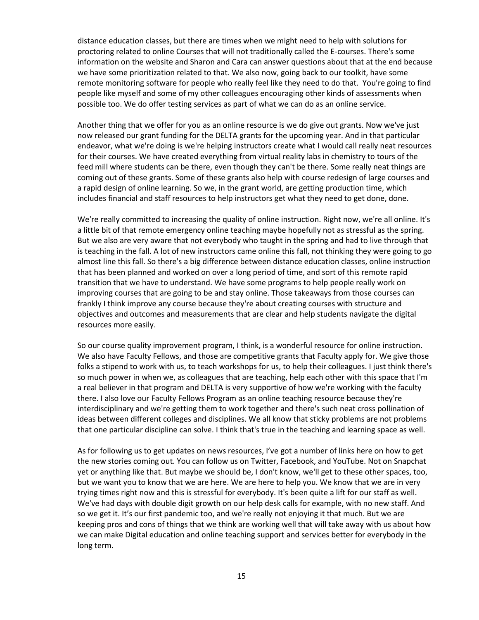distance education classes, but there are times when we might need to help with solutions for proctoring related to online Courses that will not traditionally called the E-courses. There's some information on the website and Sharon and Cara can answer questions about that at the end because we have some prioritization related to that. We also now, going back to our toolkit, have some remote monitoring software for people who really feel like they need to do that. You're going to find people like myself and some of my other colleagues encouraging other kinds of assessments when possible too. We do offer testing services as part of what we can do as an online service.

Another thing that we offer for you as an online resource is we do give out grants. Now we've just now released our grant funding for the DELTA grants for the upcoming year. And in that particular endeavor, what we're doing is we're helping instructors create what I would call really neat resources for their courses. We have created everything from virtual reality labs in chemistry to tours of the feed mill where students can be there, even though they can't be there. Some really neat things are coming out of these grants. Some of these grants also help with course redesign of large courses and a rapid design of online learning. So we, in the grant world, are getting production time, which includes financial and staff resources to help instructors get what they need to get done, done.

We're really committed to increasing the quality of online instruction. Right now, we're all online. It's a little bit of that remote emergency online teaching maybe hopefully not as stressful as the spring. But we also are very aware that not everybody who taught in the spring and had to live through that is teaching in the fall. A lot of new instructors came online this fall, not thinking they were going to go almost line this fall. So there's a big difference between distance education classes, online instruction that has been planned and worked on over a long period of time, and sort of this remote rapid transition that we have to understand. We have some programs to help people really work on improving courses that are going to be and stay online. Those takeaways from those courses can frankly I think improve any course because they're about creating courses with structure and objectives and outcomes and measurements that are clear and help students navigate the digital resources more easily.

So our course quality improvement program, I think, is a wonderful resource for online instruction. We also have Faculty Fellows, and those are competitive grants that Faculty apply for. We give those folks a stipend to work with us, to teach workshops for us, to help their colleagues. I just think there's so much power in when we, as colleagues that are teaching, help each other with this space that I'm a real believer in that program and DELTA is very supportive of how we're working with the faculty there. I also love our Faculty Fellows Program as an online teaching resource because they're interdisciplinary and we're getting them to work together and there's such neat cross pollination of ideas between different colleges and disciplines. We all know that sticky problems are not problems that one particular discipline can solve. I think that's true in the teaching and learning space as well.

As for following us to get updates on news resources, I've got a number of links here on how to get the new stories coming out. You can follow us on Twitter, Facebook, and YouTube. Not on Snapchat yet or anything like that. But maybe we should be, I don't know, we'll get to these other spaces, too, but we want you to know that we are here. We are here to help you. We know that we are in very trying times right now and this is stressful for everybody. It's been quite a lift for our staff as well. We've had days with double digit growth on our help desk calls for example, with no new staff. And so we get it. It's our first pandemic too, and we're really not enjoying it that much. But we are keeping pros and cons of things that we think are working well that will take away with us about how we can make Digital education and online teaching support and services better for everybody in the long term.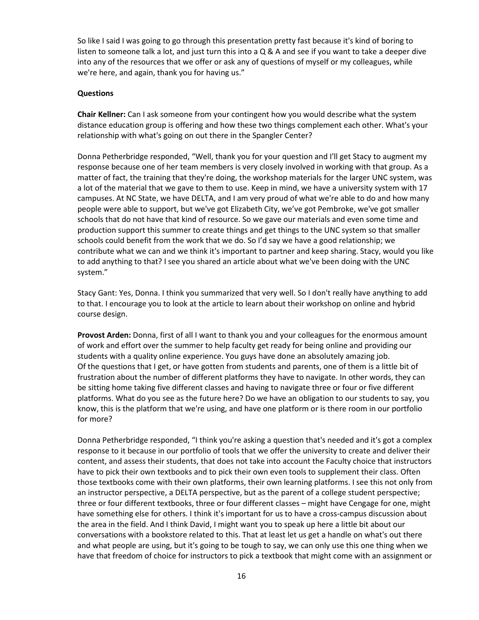So like I said I was going to go through this presentation pretty fast because it's kind of boring to listen to someone talk a lot, and just turn this into a  $Q \& A$  and see if you want to take a deeper dive into any of the resources that we offer or ask any of questions of myself or my colleagues, while we're here, and again, thank you for having us."

#### **Questions**

**Chair Kellner:** Can I ask someone from your contingent how you would describe what the system distance education group is offering and how these two things complement each other. What's your relationship with what's going on out there in the Spangler Center?

Donna Petherbridge responded, "Well, thank you for your question and I'll get Stacy to augment my response because one of her team members is very closely involved in working with that group. As a matter of fact, the training that they're doing, the workshop materials for the larger UNC system, was a lot of the material that we gave to them to use. Keep in mind, we have a university system with 17 campuses. At NC State, we have DELTA, and I am very proud of what we're able to do and how many people were able to support, but we've got Elizabeth City, we've got Pembroke, we've got smaller schools that do not have that kind of resource. So we gave our materials and even some time and production support this summer to create things and get things to the UNC system so that smaller schools could benefit from the work that we do. So I'd say we have a good relationship; we contribute what we can and we think it's important to partner and keep sharing. Stacy, would you like to add anything to that? I see you shared an article about what we've been doing with the UNC system."

Stacy Gant: Yes, Donna. I think you summarized that very well. So I don't really have anything to add to that. I encourage you to look at the article to learn about their workshop on online and hybrid course design.

**Provost Arden:** Donna, first of all I want to thank you and your colleagues for the enormous amount of work and effort over the summer to help faculty get ready for being online and providing our students with a quality online experience. You guys have done an absolutely amazing job. Of the questions that I get, or have gotten from students and parents, one of them is a little bit of frustration about the number of different platforms they have to navigate. In other words, they can be sitting home taking five different classes and having to navigate three or four or five different platforms. What do you see as the future here? Do we have an obligation to our students to say, you know, this is the platform that we're using, and have one platform or is there room in our portfolio for more?

Donna Petherbridge responded, "I think you're asking a question that's needed and it's got a complex response to it because in our portfolio of tools that we offer the university to create and deliver their content, and assess their students, that does not take into account the Faculty choice that instructors have to pick their own textbooks and to pick their own even tools to supplement their class. Often those textbooks come with their own platforms, their own learning platforms. I see this not only from an instructor perspective, a DELTA perspective, but as the parent of a college student perspective; three or four different textbooks, three or four different classes – might have Cengage for one, might have something else for others. I think it's important for us to have a cross-campus discussion about the area in the field. And I think David, I might want you to speak up here a little bit about our conversations with a bookstore related to this. That at least let us get a handle on what's out there and what people are using, but it's going to be tough to say, we can only use this one thing when we have that freedom of choice for instructors to pick a textbook that might come with an assignment or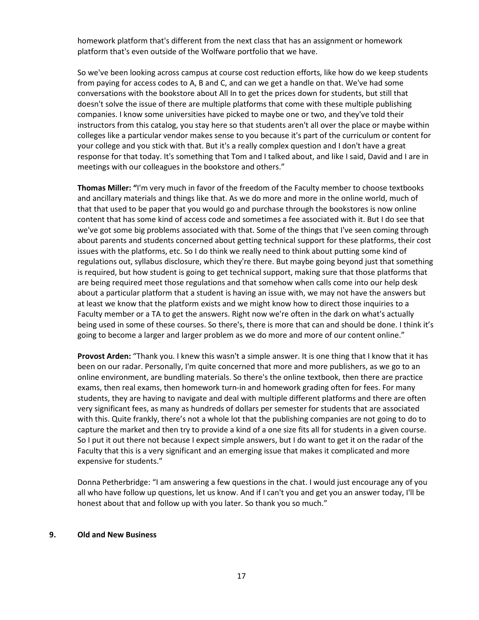homework platform that's different from the next class that has an assignment or homework platform that's even outside of the Wolfware portfolio that we have.

So we've been looking across campus at course cost reduction efforts, like how do we keep students from paying for access codes to A, B and C, and can we get a handle on that. We've had some conversations with the bookstore about All In to get the prices down for students, but still that doesn't solve the issue of there are multiple platforms that come with these multiple publishing companies. I know some universities have picked to maybe one or two, and they've told their instructors from this catalog, you stay here so that students aren't all over the place or maybe within colleges like a particular vendor makes sense to you because it's part of the curriculum or content for your college and you stick with that. But it's a really complex question and I don't have a great response for that today. It's something that Tom and I talked about, and like I said, David and I are in meetings with our colleagues in the bookstore and others."

**Thomas Miller: "**I'm very much in favor of the freedom of the Faculty member to choose textbooks and ancillary materials and things like that. As we do more and more in the online world, much of that that used to be paper that you would go and purchase through the bookstores is now online content that has some kind of access code and sometimes a fee associated with it. But I do see that we've got some big problems associated with that. Some of the things that I've seen coming through about parents and students concerned about getting technical support for these platforms, their cost issues with the platforms, etc. So I do think we really need to think about putting some kind of regulations out, syllabus disclosure, which they're there. But maybe going beyond just that something is required, but how student is going to get technical support, making sure that those platforms that are being required meet those regulations and that somehow when calls come into our help desk about a particular platform that a student is having an issue with, we may not have the answers but at least we know that the platform exists and we might know how to direct those inquiries to a Faculty member or a TA to get the answers. Right now we're often in the dark on what's actually being used in some of these courses. So there's, there is more that can and should be done. I think it's going to become a larger and larger problem as we do more and more of our content online."

**Provost Arden:** "Thank you. I knew this wasn't a simple answer. It is one thing that I know that it has been on our radar. Personally, I'm quite concerned that more and more publishers, as we go to an online environment, are bundling materials. So there's the online textbook, then there are practice exams, then real exams, then homework turn-in and homework grading often for fees. For many students, they are having to navigate and deal with multiple different platforms and there are often very significant fees, as many as hundreds of dollars per semester for students that are associated with this. Quite frankly, there's not a whole lot that the publishing companies are not going to do to capture the market and then try to provide a kind of a one size fits all for students in a given course. So I put it out there not because I expect simple answers, but I do want to get it on the radar of the Faculty that this is a very significant and an emerging issue that makes it complicated and more expensive for students."

Donna Petherbridge: "I am answering a few questions in the chat. I would just encourage any of you all who have follow up questions, let us know. And if I can't you and get you an answer today, I'll be honest about that and follow up with you later. So thank you so much."

#### **9. Old and New Business**